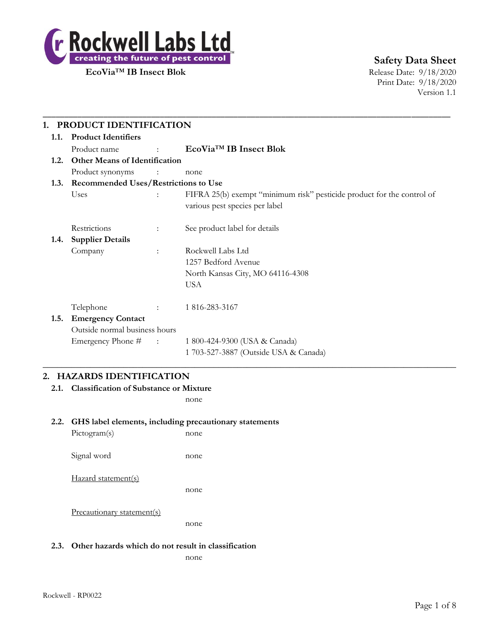

**Safety Data Sheet**

Print Date: 9/18/2020 Version 1.1

|      | 1. PRODUCT IDENTIFICATION            |                                             |                                                                                                          |  |  |
|------|--------------------------------------|---------------------------------------------|----------------------------------------------------------------------------------------------------------|--|--|
| 1.1. | <b>Product Identifiers</b>           |                                             |                                                                                                          |  |  |
|      | Product name                         | <b>Contract Contract Contract</b>           | EcoVia <sup>™</sup> IB Insect Blok                                                                       |  |  |
| 1.2. | <b>Other Means of Identification</b> |                                             |                                                                                                          |  |  |
|      | Product synonyms                     | $\ddot{\phantom{a}}$                        | none                                                                                                     |  |  |
| 1.3. |                                      | <b>Recommended Uses/Restrictions to Use</b> |                                                                                                          |  |  |
|      | Uses                                 |                                             | FIFRA 25(b) exempt "minimum risk" pesticide product for the control of<br>various pest species per label |  |  |
|      | Restrictions                         | $\ddot{\phantom{a}}$                        | See product label for details                                                                            |  |  |
| 1.4. | <b>Supplier Details</b>              |                                             |                                                                                                          |  |  |
|      | Company                              | $\ddot{\cdot}$                              | Rockwell Labs Ltd                                                                                        |  |  |
|      |                                      |                                             | 1257 Bedford Avenue                                                                                      |  |  |
|      |                                      |                                             | North Kansas City, MO 64116-4308                                                                         |  |  |
|      |                                      |                                             | <b>USA</b>                                                                                               |  |  |
|      | Telephone                            |                                             | 1 816-283-3167                                                                                           |  |  |
| 1.5. | <b>Emergency Contact</b>             |                                             |                                                                                                          |  |  |
|      | Outside normal business hours        |                                             |                                                                                                          |  |  |
|      | Emergency Phone #                    | $\sim 1000$ km s $^{-1}$                    | 1 800-424-9300 (USA & Canada)                                                                            |  |  |
|      |                                      |                                             | 1 703-527-3887 (Outside USA & Canada)                                                                    |  |  |

## **2. HAZARDS IDENTIFICATION**

**2.1. Classification of Substance or Mixture**

none

### **2.2. GHS label elements, including precautionary statements**

| Pictogram(s)               | none |
|----------------------------|------|
| Signal word                | none |
| Hazard statement(s)        | none |
| Precautionary statement(s) | none |

### **2.3. Other hazards which do not result in classification**

none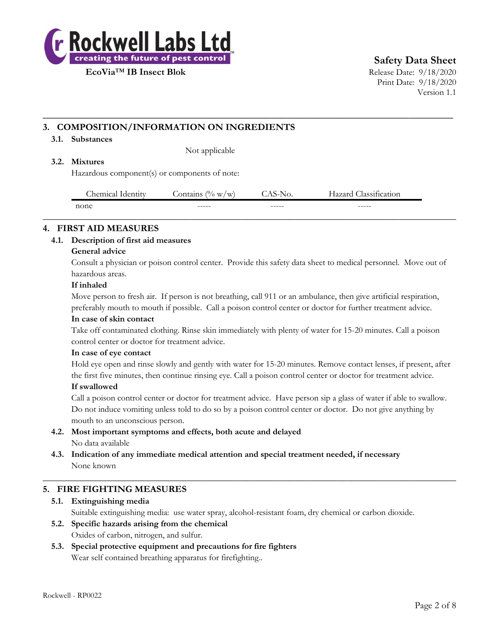

**Safety Data Sheet**

Print Date: 9/18/2020 Version 1.1

## **3. COMPOSITION/INFORMATION ON INGREDIENTS**

### **3.1. Substances**

Not applicable

### **3.2. Mixtures**

Hazardous component(s) or components of note:

| $\sim$<br>.hemical<br>Tdentity | $\Omega$<br>ontains<br>W/W | NO.    | $\cdot$<br>$\sim$<br>lassification<br>lazarc |
|--------------------------------|----------------------------|--------|----------------------------------------------|
| none                           | ------                     | ------ | ------                                       |
|                                |                            |        |                                              |

**\_\_\_\_\_\_\_\_\_\_\_\_\_\_\_\_\_\_\_\_\_\_\_\_\_\_\_\_\_\_\_\_\_\_\_\_\_\_\_\_\_\_\_\_\_\_\_\_\_\_\_\_\_\_\_\_\_\_\_\_\_\_\_\_\_\_\_\_\_\_\_\_\_\_**

### **4. FIRST AID MEASURES**

### **4.1. Description of first aid measures**

### **General advice**

Consult a physician or poison control center. Provide this safety data sheet to medical personnel. Move out of hazardous areas.

### **If inhaled**

Move person to fresh air. If person is not breathing, call 911 or an ambulance, then give artificial respiration, preferably mouth to mouth if possible. Call a poison control center or doctor for further treatment advice.

### **In case of skin contact**

Take off contaminated clothing. Rinse skin immediately with plenty of water for 15-20 minutes. Call a poison control center or doctor for treatment advice.

### **In case of eye contact**

Hold eye open and rinse slowly and gently with water for 15-20 minutes. Remove contact lenses, if present, after the first five minutes, then continue rinsing eye. Call a poison control center or doctor for treatment advice.

### **If swallowed**

Call a poison control center or doctor for treatment advice. Have person sip a glass of water if able to swallow. Do not induce vomiting unless told to do so by a poison control center or doctor. Do not give anything by mouth to an unconscious person.

- **4.2. Most important symptoms and effects, both acute and delayed** No data available
- **4.3. Indication of any immediate medical attention and special treatment needed, if necessary** None known

### **5. FIRE FIGHTING MEASURES**

### **5.1. Extinguishing media**

Suitable extinguishing media: use water spray, alcohol-resistant foam, dry chemical or carbon dioxide.

 $\_$  , and the set of the set of the set of the set of the set of the set of the set of the set of the set of the set of the set of the set of the set of the set of the set of the set of the set of the set of the set of th

- **5.2. Specific hazards arising from the chemical** Oxides of carbon, nitrogen, and sulfur.
- **5.3. Special protective equipment and precautions for fire fighters** Wear self contained breathing apparatus for firefighting..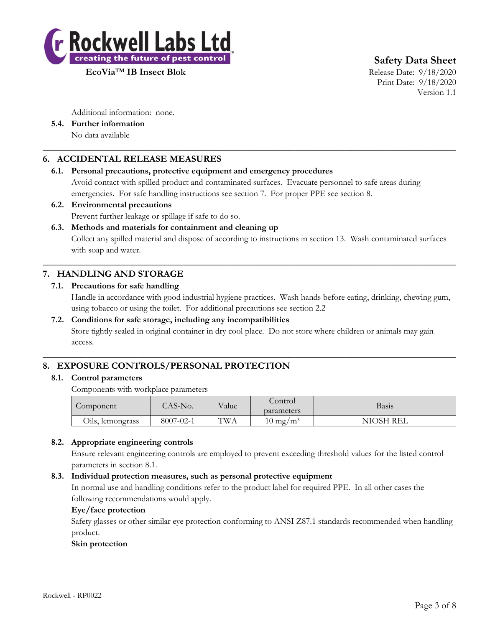

**Safety Data Sheet**

Print Date: 9/18/2020 Version 1.1

Additional information: none.

**5.4. Further information** No data available

## **6. ACCIDENTAL RELEASE MEASURES**

### **6.1. Personal precautions, protective equipment and emergency procedures**

Avoid contact with spilled product and contaminated surfaces. Evacuate personnel to safe areas during emergencies. For safe handling instructions see section 7. For proper PPE see section 8.

 $\_$  , and the set of the set of the set of the set of the set of the set of the set of the set of the set of the set of the set of the set of the set of the set of the set of the set of the set of the set of the set of th

## **6.2. Environmental precautions**

Prevent further leakage or spillage if safe to do so.

### **6.3. Methods and materials for containment and cleaning up**

Collect any spilled material and dispose of according to instructions in section 13. Wash contaminated surfaces with soap and water.

 $\_$  , and the set of the set of the set of the set of the set of the set of the set of the set of the set of the set of the set of the set of the set of the set of the set of the set of the set of the set of the set of th

# **7. HANDLING AND STORAGE**

### **7.1. Precautions for safe handling**

Handle in accordance with good industrial hygiene practices. Wash hands before eating, drinking, chewing gum, using tobacco or using the toilet. For additional precautions see section 2.2

### **7.2. Conditions for safe storage, including any incompatibilities**

Store tightly sealed in original container in dry cool place. Do not store where children or animals may gain access.

 $\_$  , and the set of the set of the set of the set of the set of the set of the set of the set of the set of the set of the set of the set of the set of the set of the set of the set of the set of the set of the set of th

## **8. EXPOSURE CONTROLS/PERSONAL PROTECTION**

### **8.1. Control parameters**

Components with workplace parameters

| Component           | AS-No.               | Value      | control                | Basis                       |
|---------------------|----------------------|------------|------------------------|-----------------------------|
|                     |                      |            | parameters             |                             |
| Oils,<br>lemongrass | 8007<br>$7 - 02 - 1$ | <b>TWA</b> | $10 \text{ mg}$<br>′m∃ | NIOSH <sup>-</sup><br>' REL |

### **8.2. Appropriate engineering controls**

Ensure relevant engineering controls are employed to prevent exceeding threshold values for the listed control parameters in section 8.1.

### **8.3. Individual protection measures, such as personal protective equipment**

In normal use and handling conditions refer to the product label for required PPE. In all other cases the following recommendations would apply.

### **Eye/face protection**

Safety glasses or other similar eye protection conforming to ANSI Z87.1 standards recommended when handling product.

### **Skin protection**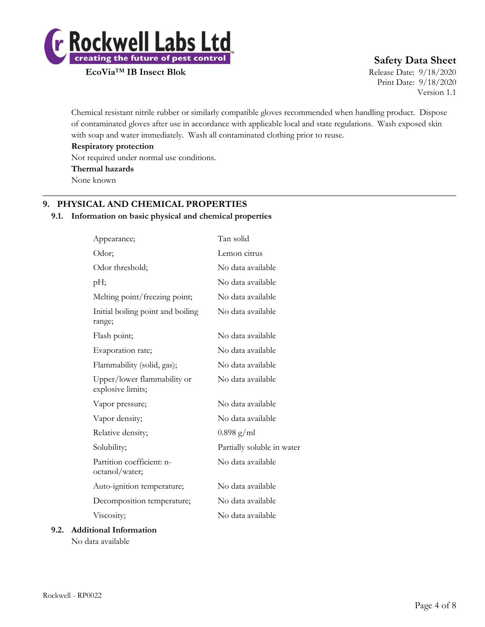

# **Safety Data Sheet**

Print Date: 9/18/2020 Version 1.1

Chemical resistant nitrile rubber or similarly compatible gloves recommended when handling product. Dispose of contaminated gloves after use in accordance with applicable local and state regulations. Wash exposed skin with soap and water immediately. Wash all contaminated clothing prior to reuse.

 $\_$  , and the set of the set of the set of the set of the set of the set of the set of the set of the set of the set of the set of the set of the set of the set of the set of the set of the set of the set of the set of th

**Respiratory protection**

Not required under normal use conditions.

**Thermal hazards**

None known

# **9. PHYSICAL AND CHEMICAL PROPERTIES**

## **9.1. Information on basic physical and chemical properties**

| Appearance;                                      | Tan solid                  |
|--------------------------------------------------|----------------------------|
| Odor;                                            | Lemon citrus               |
| Odor threshold;                                  | No data available          |
| pН;                                              | No data available          |
| Melting point/freezing point;                    | No data available          |
| Initial boiling point and boiling<br>range;      | No data available          |
| Flash point;                                     | No data available          |
| Evaporation rate;                                | No data available          |
| Flammability (solid, gas);                       | No data available          |
| Upper/lower flammability or<br>explosive limits; | No data available          |
| Vapor pressure;                                  | No data available          |
| Vapor density;                                   | No data available          |
| Relative density;                                | $0.898$ g/ml               |
| Solubility;                                      | Partially soluble in water |
| Partition coefficient: n-<br>octanol/water;      | No data available          |
| Auto-ignition temperature;                       | No data available          |
| Decomposition temperature;                       | No data available          |
| Viscosity;                                       | No data available          |
| ional Information                                |                            |

# **9.2. Additional Information**

No data available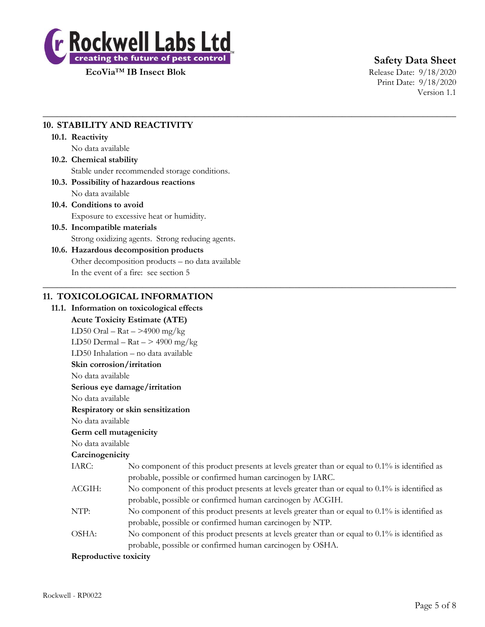

# **Safety Data Sheet**

Print Date: 9/18/2020 Version 1.1

# **10. STABILITY AND REACTIVITY**

### **10.1. Reactivity**

No data available

# **10.2. Chemical stability** Stable under recommended storage conditions.

**10.3. Possibility of hazardous reactions** No data available

## **10.4. Conditions to avoid** Exposure to excessive heat or humidity.

**10.5. Incompatible materials** Strong oxidizing agents. Strong reducing agents.

## **10.6. Hazardous decomposition products** Other decomposition products – no data available In the event of a fire: see section 5

## **11. TOXICOLOGICAL INFORMATION**

# **11.1. Information on toxicological effects Acute Toxicity Estimate (ATE)** LD50 Oral –  $\text{Rat}$  –  $>$ 4900 mg/kg LD50 Dermal –  $\text{Rat}$  – > 4900 mg/kg LD50 Inhalation – no data available **Skin corrosion/irritation** No data available **Serious eye damage/irritation** No data available **Respiratory or skin sensitization** No data available **Germ cell mutagenicity** No data available **Carcinogenicity** IARC: No component of this product presents at levels greater than or equal to 0.1% is identified as probable, possible or confirmed human carcinogen by IARC. ACGIH: No component of this product presents at levels greater than or equal to 0.1% is identified as probable, possible or confirmed human carcinogen by ACGIH. NTP: No component of this product presents at levels greater than or equal to 0.1% is identified as probable, possible or confirmed human carcinogen by NTP. OSHA: No component of this product presents at levels greater than or equal to 0.1% is identified as probable, possible or confirmed human carcinogen by OSHA. **Reproductive toxicity**

 $\_$  , and the set of the set of the set of the set of the set of the set of the set of the set of the set of the set of the set of the set of the set of the set of the set of the set of the set of the set of the set of th

 $\_$  , and the set of the set of the set of the set of the set of the set of the set of the set of the set of the set of the set of the set of the set of the set of the set of the set of the set of the set of the set of th

#### Rockwell - RP0022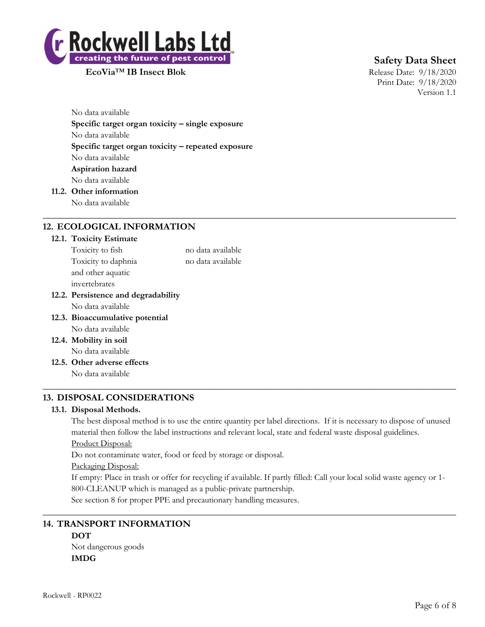

**Safety Data Sheet**

Print Date: 9/18/2020 Version 1.1

No data available **Specific target organ toxicity – single exposure** No data available **Specific target organ toxicity – repeated exposure** No data available **Aspiration hazard** No data available

**11.2. Other information**

No data available  $\_$  , and the set of the set of the set of the set of the set of the set of the set of the set of the set of the set of the set of the set of the set of the set of the set of the set of the set of the set of the set of th

# **12. ECOLOGICAL INFORMATION**

### **12.1. Toxicity Estimate**

| Toxicity to fish                    | no data available |
|-------------------------------------|-------------------|
| Toxicity to daphnia                 | no data available |
| and other aquatic                   |                   |
| invertebrates                       |                   |
| 12.2. Persistence and degradability |                   |
| No data available                   |                   |
| 12.3. Bioaccumulative potential     |                   |
| No data available                   |                   |

- **12.4. Mobility in soil** No data available
- **12.5. Other adverse effects** No data available

# **13. DISPOSAL CONSIDERATIONS**

### **13.1. Disposal Methods.**

The best disposal method is to use the entire quantity per label directions. If it is necessary to dispose of unused material then follow the label instructions and relevant local, state and federal waste disposal guidelines. Product Disposal:

 $\_$  , and the set of the set of the set of the set of the set of the set of the set of the set of the set of the set of the set of the set of the set of the set of the set of the set of the set of the set of the set of th

Do not contaminate water, food or feed by storage or disposal.

Packaging Disposal:

If empty: Place in trash or offer for recycling if available. If partly filled: Call your local solid waste agency or 1- 800-CLEANUP which is managed as a public-private partnership.

 $\_$  , and the set of the set of the set of the set of the set of the set of the set of the set of the set of the set of the set of the set of the set of the set of the set of the set of the set of the set of the set of th

See section 8 for proper PPE and precautionary handling measures.

# **14. TRANSPORT INFORMATION**

**DOT** Not dangerous goods **IMDG**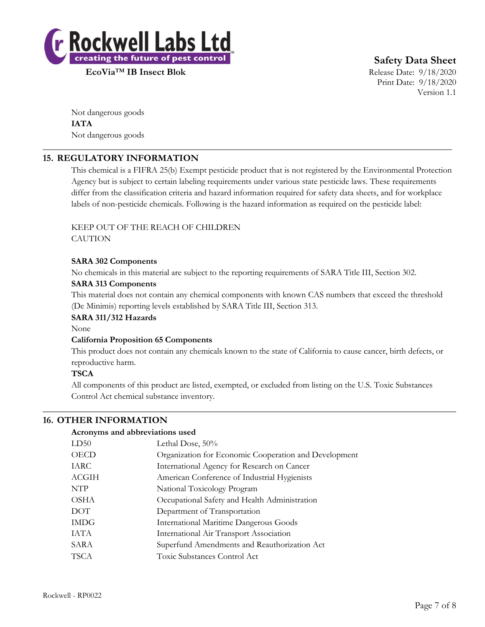

**Safety Data Sheet**

Print Date: 9/18/2020 Version 1.1

Not dangerous goods **IATA** Not dangerous goods

# **15. REGULATORY INFORMATION**

This chemical is a FIFRA 25(b) Exempt pesticide product that is not registered by the Environmental Protection Agency but is subject to certain labeling requirements under various state pesticide laws. These requirements differ from the classification criteria and hazard information required for safety data sheets, and for workplace labels of non-pesticide chemicals. Following is the hazard information as required on the pesticide label:

\_\_\_\_\_\_\_\_\_\_\_\_\_\_\_\_\_\_\_\_\_\_\_\_\_\_\_\_\_\_\_\_\_\_\_\_\_\_\_\_\_\_\_\_\_\_\_\_\_\_\_\_\_\_\_\_\_\_\_\_\_\_\_\_\_\_\_\_\_\_\_\_\_\_\_\_\_\_\_\_\_\_\_\_\_\_\_\_\_\_\_\_\_\_

### KEEP OUT OF THE REACH OF CHILDREN **CAUTION**

### **SARA 302 Components**

No chemicals in this material are subject to the reporting requirements of SARA Title III, Section 302.

### **SARA 313 Components**

This material does not contain any chemical components with known CAS numbers that exceed the threshold (De Minimis) reporting levels established by SARA Title III, Section 313.

### **SARA 311/312 Hazards**

None

### **California Proposition 65 Components**

This product does not contain any chemicals known to the state of California to cause cancer, birth defects, or reproductive harm.

### **TSCA**

All components of this product are listed, exempted, or excluded from listing on the U.S. Toxic Substances Control Act chemical substance inventory.

 $\_$  , and the set of the set of the set of the set of the set of the set of the set of the set of the set of the set of the set of the set of the set of the set of the set of the set of the set of the set of the set of th

### **16. OTHER INFORMATION**

### **Acronyms and abbreviations used**

| LD50  | Lethal Dose, 50%                                      |
|-------|-------------------------------------------------------|
| OECD  | Organization for Economic Cooperation and Development |
| IARC  | International Agency for Research on Cancer           |
| ACGIH | American Conference of Industrial Hygienists          |
| NTP   | National Toxicology Program                           |
| OSHA  | Occupational Safety and Health Administration         |
| DOT   | Department of Transportation                          |
| IMDG  | <b>International Maritime Dangerous Goods</b>         |
| IATA  | International Air Transport Association               |
| SARA  | Superfund Amendments and Reauthorization Act          |
| TSCA  | Toxic Substances Control Act                          |
|       |                                                       |